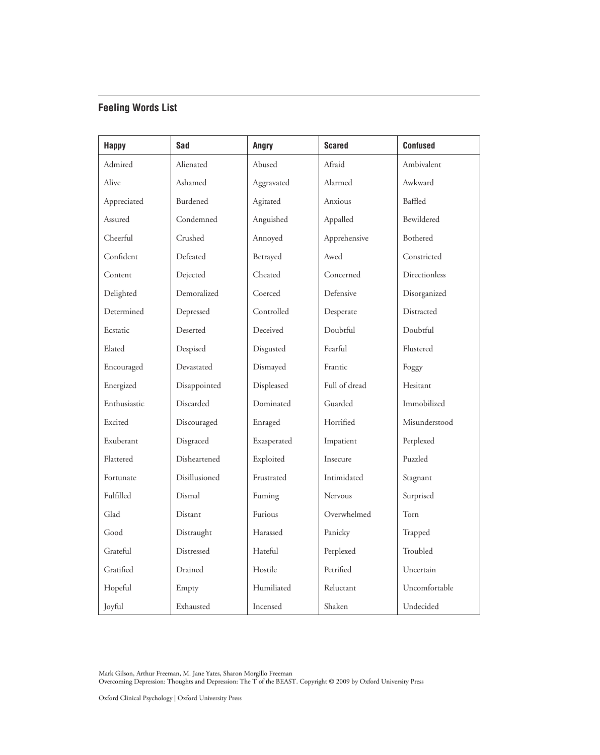## **Feeling Words List**

| <b>Happy</b> | Sad           | Angry       | <b>Scared</b> | <b>Confused</b> |
|--------------|---------------|-------------|---------------|-----------------|
| Admired      | Alienated     | Abused      | Afraid        | Ambivalent      |
| Alive        | Ashamed       | Aggravated  | Alarmed       | Awkward         |
| Appreciated  | Burdened      | Agitated    | Anxious       | Baffled         |
| Assured      | Condemned     | Anguished   | Appalled      | Bewildered      |
| Cheerful     | Crushed       | Annoyed     | Apprehensive  | Bothered        |
| Confident    | Defeated      | Betrayed    | Awed          | Constricted     |
| Content      | Dejected      | Cheated     | Concerned     | Directionless   |
| Delighted    | Demoralized   | Coerced     | Defensive     | Disorganized    |
| Determined   | Depressed     | Controlled  | Desperate     | Distracted      |
| Ecstatic     | Deserted      | Deceived    | Doubtful      | Doubtful        |
| Elated       | Despised      | Disgusted   | Fearful       | Flustered       |
| Encouraged   | Devastated    | Dismayed    | Frantic       | Foggy           |
| Energized    | Disappointed  | Displeased  | Full of dread | Hesitant        |
| Enthusiastic | Discarded     | Dominated   | Guarded       | Immobilized     |
| Excited      | Discouraged   | Enraged     | Horrified     | Misunderstood   |
| Exuberant    | Disgraced     | Exasperated | Impatient     | Perplexed       |
| Flattered    | Disheartened  | Exploited   | Insecure      | Puzzled         |
| Fortunate    | Disillusioned | Frustrated  | Intimidated   | Stagnant        |
| Fulfilled    | Dismal        | Fuming      | Nervous       | Surprised       |
| Glad         | Distant       | Furious     | Overwhelmed   | Torn            |
| Good         | Distraught    | Harassed    | Panicky       | Trapped         |
| Grateful     | Distressed    | Hateful     | Perplexed     | Troubled        |
| Gratified    | Drained       | Hostile     | Petrified     | Uncertain       |
| Hopeful      | Empty         | Humiliated  | Reluctant     | Uncomfortable   |
| Joyful       | Exhausted     | Incensed    | Shaken        | Undecided       |